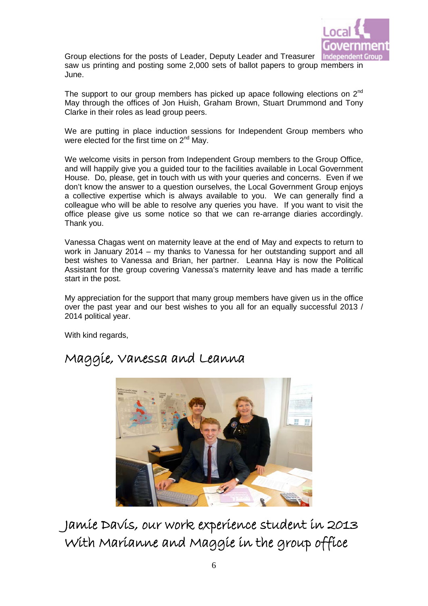

Group elections for the posts of Leader, Deputy Leader and Treasurer Inde saw us printing and posting some 2,000 sets of ballot papers to group members in June.

The support to our group members has picked up apace following elections on 2<sup>nd</sup> May through the offices of Jon Huish, Graham Brown, Stuart Drummond and Tony Clarke in their roles as lead group peers.

We are putting in place induction sessions for Independent Group members who were elected for the first time on  $2^{nd}$  May.

We welcome visits in person from Independent Group members to the Group Office, and will happily give you a guided tour to the facilities available in Local Government House. Do, please, get in touch with us with your queries and concerns. Even if we don't know the answer to a question ourselves, the Local Government Group enjoys a collective expertise which is always available to you. We can generally find a colleague who will be able to resolve any queries you have. If you want to visit the office please give us some notice so that we can re-arrange diaries accordingly. Thank you.

Vanessa Chagas went on maternity leave at the end of May and expects to return to work in January 2014 – my thanks to Vanessa for her outstanding support and all best wishes to Vanessa and Brian, her partner. Leanna Hay is now the Political Assistant for the group covering Vanessa's maternity leave and has made a terrific start in the post.

My appreciation for the support that many group members have given us in the office over the past year and our best wishes to you all for an equally successful 2013 / 2014 political year.

With kind regards,



### Maggie, Vanessa and Leanna

Jamie Davis, our work experience student in 2013 With Marianne and Maggie in the group office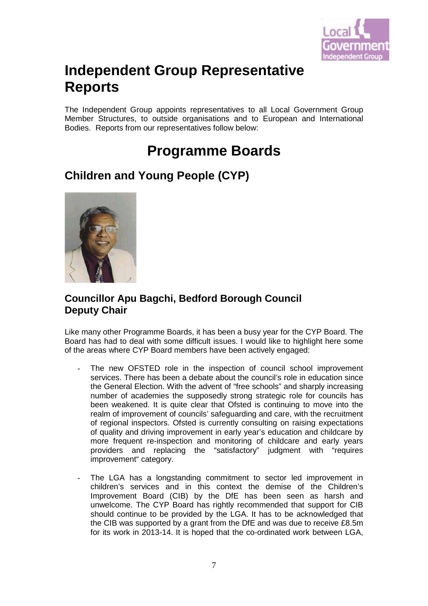

# **Independent Group Representative Reports**

The Independent Group appoints representatives to all Local Government Group Member Structures, to outside organisations and to European and International Bodies. Reports from our representatives follow below:

# **Programme Boards**

### **Children and Young People (CYP)**



#### **Councillor Apu Bagchi, Bedford Borough Council Deputy Chair**

Like many other Programme Boards, it has been a busy year for the CYP Board. The Board has had to deal with some difficult issues. I would like to highlight here some of the areas where CYP Board members have been actively engaged:

- The new OFSTED role in the inspection of council school improvement services. There has been a debate about the council's role in education since the General Election. With the advent of "free schools" and sharply increasing number of academies the supposedly strong strategic role for councils has been weakened. It is quite clear that Ofsted is continuing to move into the realm of improvement of councils' safeguarding and care, with the recruitment of regional inspectors. Ofsted is currently consulting on raising expectations of quality and driving improvement in early year's education and childcare by more frequent re-inspection and monitoring of childcare and early years providers and replacing the "satisfactory" judgment with "requires improvement" category.
- The LGA has a longstanding commitment to sector led improvement in children's services and in this context the demise of the Children's Improvement Board (CIB) by the DfE has been seen as harsh and unwelcome. The CYP Board has rightly recommended that support for CIB should continue to be provided by the LGA. It has to be acknowledged that the CIB was supported by a grant from the DfE and was due to receive £8.5m for its work in 2013-14. It is hoped that the co-ordinated work between LGA,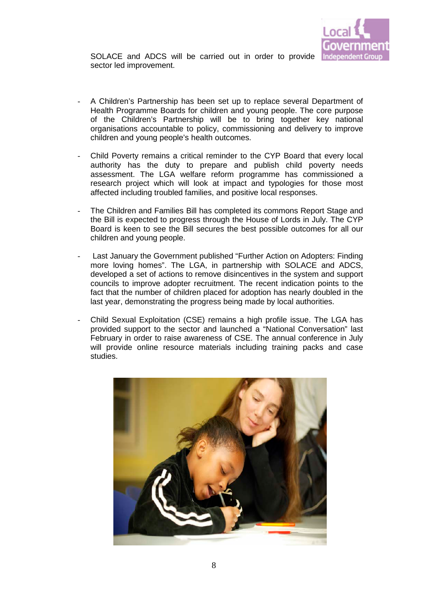

SOLACE and ADCS will be carried out in order to provide sector led improvement.

- A Children's Partnership has been set up to replace several Department of Health Programme Boards for children and young people. The core purpose of the Children's Partnership will be to bring together key national organisations accountable to policy, commissioning and delivery to improve children and young people's health outcomes.
- Child Poverty remains a critical reminder to the CYP Board that every local authority has the duty to prepare and publish child poverty needs assessment. The LGA welfare reform programme has commissioned a research project which will look at impact and typologies for those most affected including troubled families, and positive local responses.
- The Children and Families Bill has completed its commons Report Stage and the Bill is expected to progress through the House of Lords in July. The CYP Board is keen to see the Bill secures the best possible outcomes for all our children and young people.
- Last January the Government published "Further Action on Adopters: Finding more loving homes". The LGA, in partnership with SOLACE and ADCS, developed a set of actions to remove disincentives in the system and support councils to improve adopter recruitment. The recent indication points to the fact that the number of children placed for adoption has nearly doubled in the last year, demonstrating the progress being made by local authorities.
- Child Sexual Exploitation (CSE) remains a high profile issue. The LGA has provided support to the sector and launched a "National Conversation" last February in order to raise awareness of CSE. The annual conference in July will provide online resource materials including training packs and case studies.

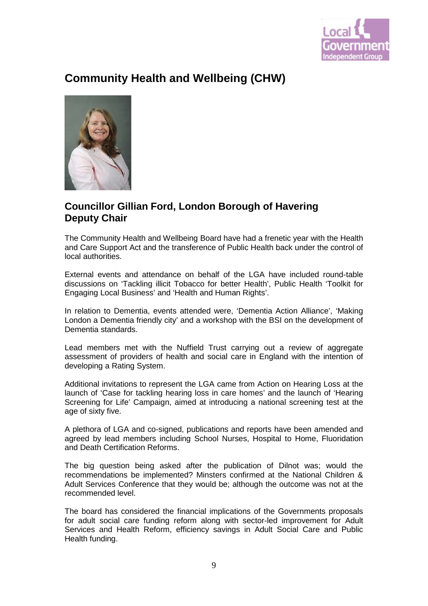

### **Community Health and Wellbeing (CHW)**



#### **Councillor Gillian Ford, London Borough of Havering Deputy Chair**

The Community Health and Wellbeing Board have had a frenetic year with the Health and Care Support Act and the transference of Public Health back under the control of local authorities.

External events and attendance on behalf of the LGA have included round-table discussions on 'Tackling illicit Tobacco for better Health', Public Health 'Toolkit for Engaging Local Business' and 'Health and Human Rights'.

In relation to Dementia, events attended were, 'Dementia Action Alliance', 'Making London a Dementia friendly city' and a workshop with the BSI on the development of Dementia standards.

Lead members met with the Nuffield Trust carrying out a review of aggregate assessment of providers of health and social care in England with the intention of developing a Rating System.

Additional invitations to represent the LGA came from Action on Hearing Loss at the launch of 'Case for tackling hearing loss in care homes' and the launch of 'Hearing Screening for Life' Campaign, aimed at introducing a national screening test at the age of sixty five.

A plethora of LGA and co-signed, publications and reports have been amended and agreed by lead members including School Nurses, Hospital to Home, Fluoridation and Death Certification Reforms.

The big question being asked after the publication of Dilnot was; would the recommendations be implemented? Minsters confirmed at the National Children & Adult Services Conference that they would be; although the outcome was not at the recommended level.

The board has considered the financial implications of the Governments proposals for adult social care funding reform along with sector-led improvement for Adult Services and Health Reform, efficiency savings in Adult Social Care and Public Health funding.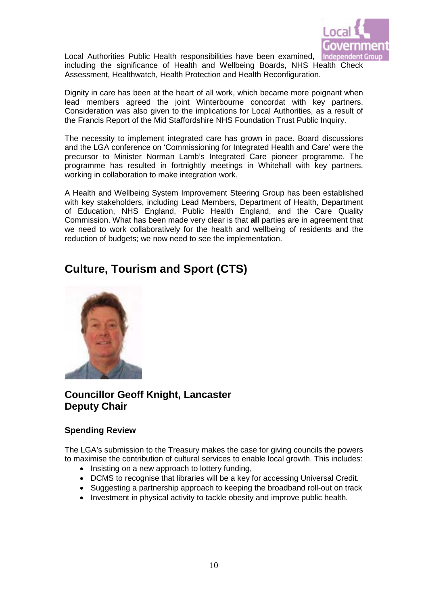

Local Authorities Public Health responsibilities have been examined, including the significance of Health and Wellbeing Boards, NHS Health Check Assessment, Healthwatch, Health Protection and Health Reconfiguration.

Dignity in care has been at the heart of all work, which became more poignant when lead members agreed the joint Winterbourne concordat with key partners. Consideration was also given to the implications for Local Authorities, as a result of the Francis Report of the Mid Staffordshire NHS Foundation Trust Public Inquiry.

The necessity to implement integrated care has grown in pace. Board discussions and the LGA conference on 'Commissioning for Integrated Health and Care' were the precursor to Minister Norman Lamb's Integrated Care pioneer programme. The programme has resulted in fortnightly meetings in Whitehall with key partners, working in collaboration to make integration work.

A Health and Wellbeing System Improvement Steering Group has been established with key stakeholders, including Lead Members, Department of Health, Department of Education, NHS England, Public Health England, and the Care Quality Commission. What has been made very clear is that **all** parties are in agreement that we need to work collaboratively for the health and wellbeing of residents and the reduction of budgets; we now need to see the implementation.

### **Culture, Tourism and Sport (CTS)**



#### **Councillor Geoff Knight, Lancaster Deputy Chair**

#### **Spending Review**

The LGA's submission to the Treasury makes the case for giving councils the powers to maximise the contribution of cultural services to enable local growth. This includes:

- Insisting on a new approach to lottery funding,
- DCMS to recognise that libraries will be a key for accessing Universal Credit.
- Suggesting a partnership approach to keeping the broadband roll-out on track
- Investment in physical activity to tackle obesity and improve public health.